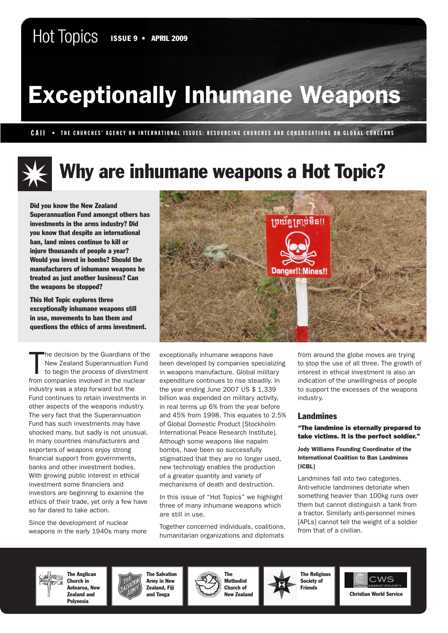# Exceptionally Inhumane Weapons

CAII • THE CHURCHES' AGENCY ON INTERNATIONAL ISSUES: RESOURCING CHURCHES AND CONGREGATIONS ON GLOBAL CONCERNS

## Why are inhumane weapons a Hot Topic?

Did you know the New Zealand Superannuation Fund amongst others has investments in the arms industry? Did you know that despite an international ban, land mines continue to kill or injure thousands of people a year? Would you invest in bombs? Should the manufacturers of inhumane weapons be treated as just another business? Can the weapons be stopped?

This Hot Topic explores three exceptionally inhumane weapons still in use, movements to ban them and questions the ethics of arms investment.

T he decision by the Guardians of the New Zealand Superannuation Fund to begin the process of divestment from companies involved in the nuclear industry was a step forward but the Fund continues to retain investments in other aspects of the weapons industry. The very fact that the Superannuation Fund has such investments may have shocked many, but sadly is not unusual. In many countries manufacturers and exporters of weapons enjoy strong financial support from governments, banks and other investment bodies. With growing public interest in ethical investment some financiers and investors are beginning to examine the ethics of their trade, yet only a few have so far dared to take action.

Since the development of nuclear weapons in the early 1940s many more



exceptionally inhumane weapons have been developed by companies specializing in weapons manufacture. Global military expenditure continues to rise steadily. In the year ending June 2007 US \$ 1,339 billion was expended on military activity, in real terms up 6% from the year before and 45% from 1998. This equates to 2.5% of Global Domestic Product [Stockholm International Peace Research Institute]. Although some weapons like napalm bombs, have been so successfully stigmatized that they are no longer used, new technology enables the production of a greater quantity and variety of mechanisms of death and destruction.

In this issue of "Hot Topics" we highlight three of many inhumane weapons which are still in use.

Together concerned individuals, coalitions, humanitarian organizations and diplomats

from around the globe moves are trying to stop the use of all three. The growth of interest in ethical investment is also an indication of the unwillingness of people to support the excesses of the weapons industry.

#### Landmines

#### "The landmine is eternally prepared to take victims. It is the perfect soldier."

#### Jody Williams Founding Coordinator of the International Coalition to Ban Landmines [ICBL]

Landmines fall into two categories. Anti-vehicle landmines detonate when something heavier than 100kg runs over them but cannot distinguish a tank from a tractor. Similarly anti-personnel mines [APLs] cannot tell the weight of a soldier from that of a civilian.

The Anglican UULA Church in Aotearoa, New Zealand and Polynesia









The Religious Society of



Hot Topics • Topic 9 • April 2009 • 1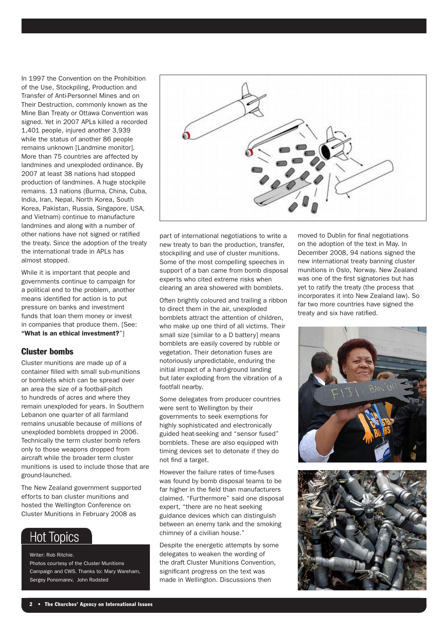In 1997 the Convention on the Prohibition of the Use, Stockpiling, Production and Transfer of Anti-Personnel Mines and on Their Destruction, commonly known as the Mine Ban Treaty or Ottawa Convention was signed. Yet in 2007 APLs killed a recorded 1,401 people, injured another 3,939 while the status of another 86 people remains unknown [Landmine monitor]. More than 75 countries are affected by landmines and unexploded ordinance. By 2007 at least 38 nations had stopped production of landmines. A huge stockpile remains. 13 nations (Burma, China, Cuba, India, Iran, Nepal, North Korea, South Korea, Pakistan, Russia, Singapore, USA, and Vietnam) continue to manufacture landmines and along with a number of other nations have not signed or ratified the treaty. Since the adoption of the treaty the international trade in APLs has almost stopped.

While it is important that people and governments continue to campaign for a political end to the problem, another means identified for action is to put pressure on banks and investment funds that loan them money or invest in companies that produce them. [See: "What is an ethical investment?"]

#### Cluster bombs

Cluster munitions are made up of a container filled with small sub-munitions or bomblets which can be spread over an area the size of a football-pitch to hundreds of acres and where they remain unexploded for years. In Southern Lebanon one quarter of all farmland remains unusable because of millions of unexploded bomblets dropped in 2006. Technically the term cluster bomb refers only to those weapons dropped from aircraft while the broader term cluster munitions is used to include those that are ground-launched.

The New Zealand government supported efforts to ban cluster munitions and hosted the Wellington Conference on Cluster Munitions in February 2008 as

## **Hot Topics**

Writer: Rob Ritchie. Photos courtesy of the Cluster Munitions Campaign and CWS. Thanks to: Mary Wareham, Sergey Ponomarev, John Rodsted



part of international negotiations to write a new treaty to ban the production, transfer, stockpiling and use of cluster munitions. Some of the most compelling speeches in support of a ban came from bomb disposal experts who cited extreme risks when clearing an area showered with bomblets.

Often brightly coloured and trailing a ribbon to direct them in the air, unexploded bomblets attract the attention of children, who make up one third of all victims. Their small size [similar to a D battery] means bomblets are easily covered by rubble or vegetation. Their detonation fuses are notoriously unpredictable, enduring the initial impact of a hard-ground landing but later exploding from the vibration of a footfall nearby.

Some delegates from producer countries were sent to Wellington by their governments to seek exemptions for highly sophisticated and electronically guided heat-seeking and "sensor fused" bomblets. These are also equipped with timing devices set to detonate if they do not find a target.

However the failure rates of time-fuses was found by bomb disposal teams to be far higher in the field than manufacturers claimed. "Furthermore" said one disposal expert, "there are no heat seeking guidance devices which can distinguish between an enemy tank and the smoking chimney of a civilian house."

Despite the energetic attempts by some delegates to weaken the wording of the draft Cluster Munitions Convention, significant progress on the text was made in Wellington. Discussions then

moved to Dublin for final negotiations on the adoption of the text in May. In December 2008, 94 nations signed the new international treaty banning cluster munitions in Oslo, Norway. New Zealand was one of the first signatories but has yet to ratify the treaty (the process that incorporates it into New Zealand law). So far two more countries have signed the treaty and six have ratified.



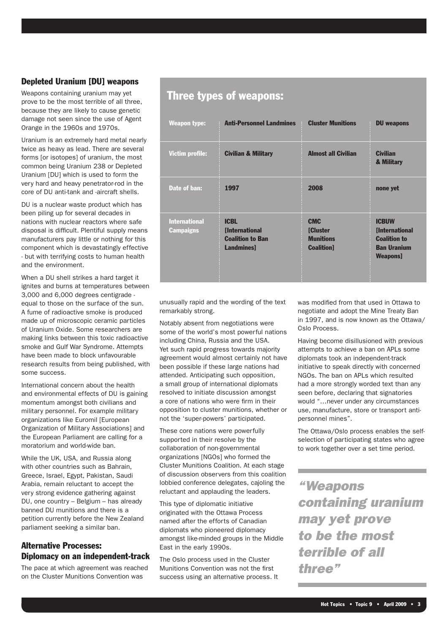#### Depleted Uranium [DU] weapons

Weapons containing uranium may yet prove to be the most terrible of all three, because they are likely to cause genetic damage not seen since the use of Agent Orange in the 1960s and 1970s.

Uranium is an extremely hard metal nearly twice as heavy as lead. There are several forms [or isotopes] of uranium, the most common being Uranium 238 or Depleted Uranium [DU] which is used to form the very hard and heavy penetrator-rod in the core of DU anti-tank and -aircraft shells.

DU is a nuclear waste product which has been piling up for several decades in nations with nuclear reactors where safe disposal is difficult. Plentiful supply means manufacturers pay little or nothing for this component which is devastatingly effective - but with terrifying costs to human health and the environment.

When a DU shell strikes a hard target it ignites and burns at temperatures between 3,000 and 6,000 degrees centigrade equal to those on the surface of the sun. A fume of radioactive smoke is produced made up of microscopic ceramic particles of Uranium Oxide. Some researchers are making links between this toxic radioactive smoke and Gulf War Syndrome. Attempts have been made to block unfavourable research results from being published, with some success.

International concern about the health and environmental effects of DU is gaining momentum amongst both civilians and military personnel. For example military organizations like Euromil [European Organization of Military Associations] and the European Parliament are calling for a moratorium and world-wide ban.

While the UK, USA, and Russia along with other countries such as Bahrain. Greece, Israel, Egypt, Pakistan, Saudi Arabia, remain reluctant to accept the very strong evidence gathering against DU, one country – Belgium – has already banned DU munitions and there is a petition currently before the New Zealand parliament seeking a similar ban.

#### Alternative Processes: Diplomacy on an independent-track

The pace at which agreement was reached on the Cluster Munitions Convention was

#### Three types of weapons:

| <b>Weapon type:</b>                      | <b>Anti-Personnel Landmines</b>                                              | <b>Cluster Munitions</b>                                         | <b>DU</b> weapons                                                                                    |
|------------------------------------------|------------------------------------------------------------------------------|------------------------------------------------------------------|------------------------------------------------------------------------------------------------------|
| <b>Victim profile:</b>                   | <b>Civilian &amp; Military</b>                                               | <b>Almost all Civilian</b>                                       | <b>Civilian</b><br>& Military                                                                        |
| Date of ban:                             | 1997                                                                         | 2008                                                             | none yet                                                                                             |
| <b>International</b><br><b>Campaigns</b> | <b>ICBL</b><br><b>International</b><br><b>Coalition to Ban</b><br>Landmines] | <b>CMC</b><br>[Cluster<br><b>Munitions</b><br><b>Coalition</b> ] | <b>ICBUW</b><br><b>International</b><br><b>Coalition to</b><br><b>Ban Uranium</b><br><b>Weapons]</b> |

unusually rapid and the wording of the text remarkably strong.

Notably absent from negotiations were some of the world's most powerful nations including China, Russia and the USA. Yet such rapid progress towards majority agreement would almost certainly not have been possible if these large nations had attended. Anticipating such opposition, a small group of international diplomats resolved to initiate discussion amongst a core of nations who were firm in their opposition to cluster munitions, whether or not the 'super-powers' participated.

These core nations were powerfully supported in their resolve by the collaboration of non-governmental organizations [NGOs] who formed the Cluster Munitions Coalition. At each stage of discussion observers from this coalition lobbied conference delegates, cajoling the reluctant and applauding the leaders.

This type of diplomatic initiative originated with the Ottawa Process named after the efforts of Canadian diplomats who pioneered diplomacy amongst like-minded groups in the Middle East in the early 1990s.

The Oslo process used in the Cluster Munitions Convention was not the first success using an alternative process. It was modified from that used in Ottawa to negotiate and adopt the Mine Treaty Ban in 1997, and is now known as the Ottawa/ Oslo Process.

Having become disillusioned with previous attempts to achieve a ban on APLs some diplomats took an independent-track initiative to speak directly with concerned NGOs. The ban on APLs which resulted had a more strongly worded text than any seen before, declaring that signatories would "…never under any circumstances use, manufacture, store or transport antipersonnel mines".

The Ottawa/Oslo process enables the selfselection of participating states who agree to work together over a set time period.

*"Weapons containing uranium may yet prove to be the most terrible of all three"*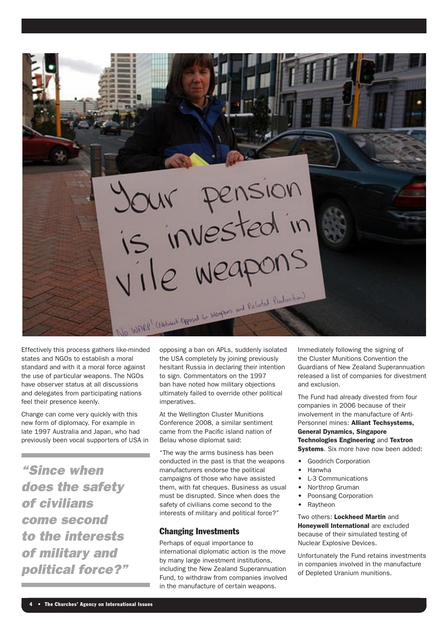XII<sup>V</sup> pension Wallet Checker Change L. Walter and Related Checker)

Effectively this process gathers like-minded states and NGOs to establish a moral standard and with it a moral force against the use of particular weapons. The NGOs have observer status at all discussions and delegates from participating nations feel their presence keenly.

Change can come very quickly with this new form of diplomacy. For example in late 1997 Australia and Japan, who had previously been vocal supporters of USA in

*"Since when does the safety of civilians come second to the interests of military and political force?"* opposing a ban on APLs, suddenly isolated the USA completely by joining previously hesitant Russia in declaring their intention to sign. Commentators on the 1997 ban have noted how military objections ultimately failed to override other political imperatives.

At the Wellington Cluster Munitions Conference 2008, a similar sentiment came from the Pacific island nation of Belau whose diplomat said:

"The way the arms business has been conducted in the past is that the weapons manufacturers endorse the political campaigns of those who have assisted them, with fat cheques. Business as usual must be disrupted. Since when does the safety of civilians come second to the interests of military and political force?"

#### Changing Investments

Perhaps of equal importance to international diplomatic action is the move by many large investment institutions, including the New Zealand Superannuation Fund, to withdraw from companies involved in the manufacture of certain weapons.

Immediately following the signing of the Cluster Munitions Convention the Guardians of New Zealand Superannuation released a list of companies for divestment and exclusion.

The Fund had already divested from four companies in 2006 because of their involvement in the manufacture of Anti-Personnel mines: Alliant Techsystems, General Dynamics, Singapore Technologies Engineering and Textron Systems. Six more have now been added:

- **Goodrich Corporation**
- • Hanwha
- **L-3 Communications**
- Northrop Gruman
- Poonsang Corporation
- **Ravtheon**

Two others: Lockheed Martin and Honeywell International are excluded because of their simulated testing of Nuclear Explosive Devices.

Unfortunately the Fund retains investments in companies involved in the manufacture of Depleted Uranium munitions.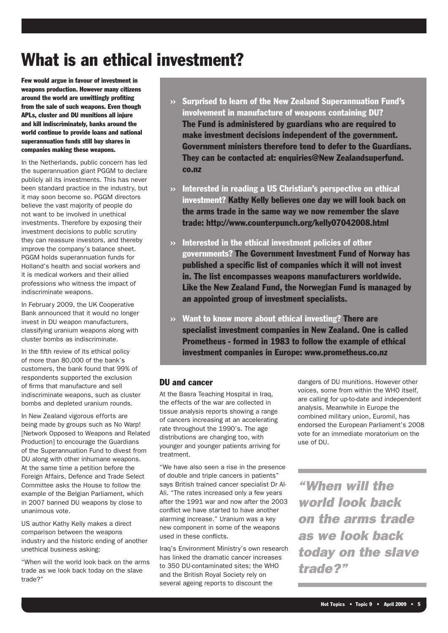## What is an ethical investment?

Few would argue in favour of investment in weapons production. However many citizens around the world are unwittingly profiting from the sale of such weapons. Even though APLs, cluster and DU munitions all injure and kill indiscriminately, banks around the world continue to provide loans and national superannuation funds still buy shares in companies making these weapons.

In the Netherlands, public concern has led the superannuation giant PGGM to declare publicly all its investments. This has never been standard practice in the industry, but it may soon become so. PGGM directors believe the vast majority of people do not want to be involved in unethical investments. Therefore by exposing their investment decisions to public scrutiny they can reassure investors, and thereby improve the company's balance sheet. PGGM holds superannuation funds for Holland's health and social workers and it is medical workers and their allied professions who witness the impact of indiscriminate weapons.

In February 2009, the UK Cooperative Bank announced that it would no longer invest in DU weapon manufacturers, classifying uranium weapons along with cluster bombs as indiscriminate.

In the fifth review of its ethical policy of more than 80,000 of the bank's customers, the bank found that 99% of respondents supported the exclusion of firms that manufacture and sell indiscriminate weapons, such as cluster bombs and depleted uranium rounds.

In New Zealand vigorous efforts are being made by groups such as No Warp! [Network Opposed to Weapons and Related Production] to encourage the Guardians of the Superannuation Fund to divest from DU along with other inhumane weapons. At the same time a petition before the Foreign Affairs, Defence and Trade Select Committee asks the House to follow the example of the Belgian Parliament, which in 2007 banned DU weapons by close to unanimous vote.

US author Kathy Kelly makes a direct comparison between the weapons industry and the historic ending of another unethical business asking:

"When will the world look back on the arms trade as we look back today on the slave trade?"

- ›› Surprised to learn of the New Zealand Superannuation Fund's involvement in manufacture of weapons containing DU? The Fund is administered by guardians who are required to make investment decisions independent of the government. Government ministers therefore tend to defer to the Guardians. They can be contacted at: enquiries@New Zealandsuperfund. co.nz
- $\rightarrow$  Interested in reading a US Christian's perspective on ethical investment? Kathy Kelly believes one day we will look back on the arms trade in the same way we now remember the slave trade: http://www.counterpunch.org/kelly07042008.html
- $\gg$  Interested in the ethical investment policies of other governments? The Government Investment Fund of Norway has published a specific list of companies which it will not invest in. The list encompasses weapons manufacturers worldwide. Like the New Zealand Fund, the Norwegian Fund is managed by an appointed group of investment specialists.
- ›› Want to know more about ethical investing? There are specialist investment companies in New Zealand. One is called Prometheus - formed in 1983 to follow the example of ethical investment companies in Europe: www.prometheus.co.nz

#### DU and cancer

At the Basra Teaching Hospital in Iraq, the effects of the war are collected in tissue analysis reports showing a range of cancers increasing at an accelerating rate throughout the 1990's. The age distributions are changing too, with younger and younger patients arriving for treatment.

"We have also seen a rise in the presence of double and triple cancers in patients" says British trained cancer specialist Dr Al-Ali. "The rates increased only a few years after the 1991 war and now after the 2003 conflict we have started to have another alarming increase." Uranium was a key new component in some of the weapons used in these conflicts.

Iraq's Environment Ministry's own research has linked the dramatic cancer increases to 350 DU-contaminated sites; the WHO and the British Royal Society rely on several ageing reports to discount the

dangers of DU munitions. However other voices, some from within the WHO itself, are calling for up-to-date and independent analysis. Meanwhile in Europe the combined military union, Euromil, has endorsed the European Parliament's 2008 vote for an immediate moratorium on the use of DU.

*"When will the world look back on the arms trade as we look back today on the slave trade?"*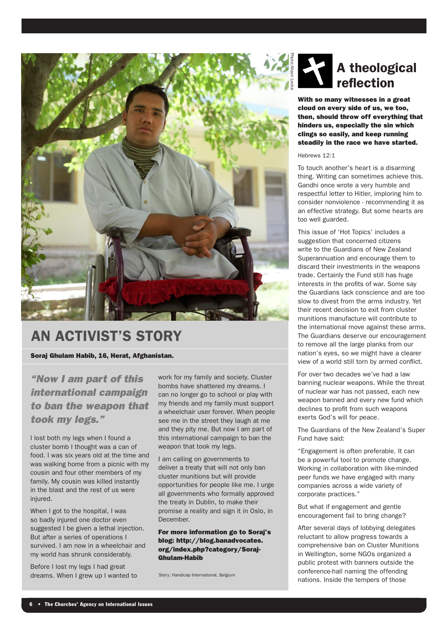

### An activist's story

Soraj Ghulam Habib, 16, Herat, Afghanistan.

*"Now I am part of this international campaign to ban the weapon that took my legs."*

I lost both my legs when I found a cluster bomb I thought was a can of food. I was six years old at the time and was walking home from a picnic with my cousin and four other members of my family. My cousin was killed instantly in the blast and the rest of us were injured.

When I got to the hospital, I was so badly injured one doctor even suggested I be given a lethal injection. But after a series of operations I survived. I am now in a wheelchair and my world has shrunk considerably.

Before I lost my legs I had great dreams. When I grew up I wanted to work for my family and society. Cluster bombs have shattered my dreams. I can no longer go to school or play with my friends and my family must support a wheelchair user forever. When people see me in the street they laugh at me and they pity me. But now I am part of this international campaign to ban the weapon that took my legs.

I am calling on governments to deliver a treaty that will not only ban cluster munitions but will provide opportunities for people like me. I urge all governments who formally approved the treaty in Dublin, to make their promise a reality and sign it in Oslo, in December.

#### For more information go to Soraj's blog: http://blog.banadvocates. org/index.php?category/Soraj-Ghulam-Habib

Story: Handicap International, Belgium

## A theological reflection

With so many witnesses in a great cloud on every side of us, we too, then, should throw off everything that hinders us, especially the sin which clings so easily, and keep running steadily in the race we have started.

#### Hebrews 12:1

To touch another's heart is a disarming thing. Writing can sometimes achieve this. Gandhi once wrote a very humble and respectful letter to Hitler, imploring him to consider nonviolence - recommending it as an effective strategy. But some hearts are too well guarded.

This issue of 'Hot Topics' includes a suggestion that concerned citizens write to the Guardians of New Zealand Superannuation and encourage them to discard their investments in the weapons trade. Certainly the Fund still has huge interests in the profits of war. Some say the Guardians lack conscience and are too slow to divest from the arms industry. Yet their recent decision to exit from cluster munitions manufacture will contribute to the international move against these arms. The Guardians deserve our encouragement to remove all the large planks from our nation's eyes, so we might have a clearer view of a world still torn by armed conflict.

For over two decades we've had a law banning nuclear weapons. While the threat of nuclear war has not passed, each new weapon banned and every new fund which declines to profit from such weapons exerts God's will for peace.

The Guardians of the New Zealand's Super Fund have said:

"Engagement is often preferable. It can be a powerful tool to promote change. Working in collaboration with like-minded peer funds we have engaged with many companies across a wide variety of corporate practices."

But what if engagement and gentle encouragement fail to bring change?

After several days of lobbying delegates reluctant to allow progress towards a comprehensive ban on Cluster Munitions in Wellington, some NGOs organized a public protest with banners outside the conference-hall naming the offending nations. Inside the tempers of those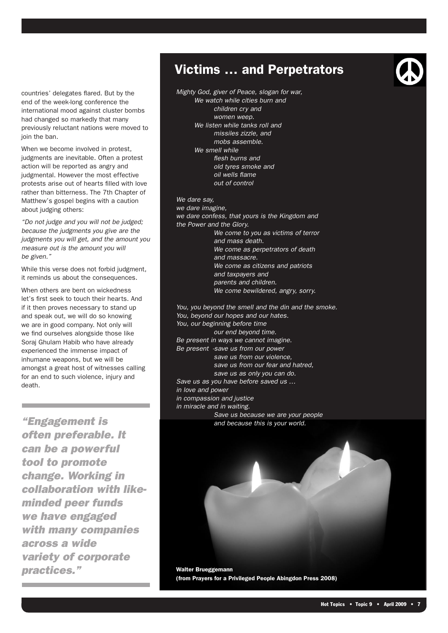countries' delegates flared. But by the end of the week-long conference the international mood against cluster bombs had changed so markedly that many previously reluctant nations were moved to join the ban.

When we become involved in protest, judgments are inevitable. Often a protest action will be reported as angry and judgmental. However the most effective protests arise out of hearts filled with love rather than bitterness. The 7th Chapter of Matthew's gospel begins with a caution about judging others:

*"Do not judge and you will not be judged; because the judgments you give are the judgments you will get, and the amount you measure out is the amount you will be given."* 

While this verse does not forbid judgment, it reminds us about the consequences.

When others are hent on wickedness let's first seek to touch their hearts. And if it then proves necessary to stand up and speak out, we will do so knowing we are in good company. Not only will we find ourselves alongside those like Soraj Ghulam Habib who have already experienced the immense impact of inhumane weapons, but we will be amongst a great host of witnesses calling for an end to such violence, injury and death.

*"Engagement is often preferable. It can be a powerful tool to promote change. Working in collaboration with likeminded peer funds we have engaged with many companies across a wide variety of corporate practices."*

### Victims … and Perpetrators

*Mighty God, giver of Peace, slogan for war, We watch while cities burn and children cry and women weep. We listen while tanks roll and missiles zizzle, and mobs assemble. We smell while flesh burns and old tyres smoke and oil wells flame out of control*

*We dare say, we dare imagine, we dare confess, that yours is the Kingdom and the Power and the Glory. We come to you as victims of terror and mass death. We come as perpetrators of death and massacre. We come as citizens and patriots and taxpayers and parents and children. We come bewildered, angry, sorry.*

*You, you beyond the smell and the din and the smoke. You, beyond our hopes and our hates. You, our beginning before time our end beyond time. Be present in ways we cannot imagine. Be present -save us from our power save us from our violence, save us from our fear and hatred, save us as only you can do. Save us as you have before saved us … in love and power in compassion and justice in miracle and in waiting. Save us because we are your people and because this is your world.*

Walter Brueggemann (from Prayers for a Privileged People Abingdon Press 2008)